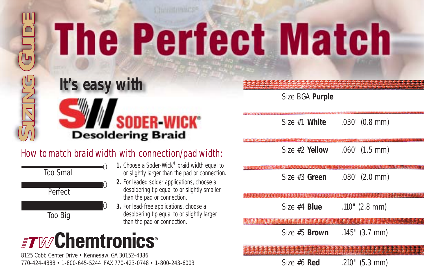# **The Perfect Match**



Size BGA **Purple**

Size #1 **White** *.030" (0.8 mm)*

Size #2 **Yellow** *.060" (1.5 mm)*

Size #3 **Green** *.080" (2.0 mm)*

Size #4 **Blue** *.110" (2.8 mm)*

Size #5 **Brown** *.145" (3.7 mm)*

### How to match braid width with connection/pad width:



- **1.** Choose a Soder-Wick® braid width equal to or slightly larger than the pad or connection.
- **2.** For leaded solder applications, choose a desoldering tip equal to or slightly smaller than the pad or connection.
- **3.** For lead-free applications, choose a desoldering tip equal to or slightly larger than the pad or connection.

## **TWChemtronics**®

8125 Cobb Center Drive • Kennesaw, GA 30152-4386 770-424-4888 • 1-800-645-5244 FAX 770-423-0748 • 1-800-243-6003

Size #6 **Red** *.210" (5.3 mm)*